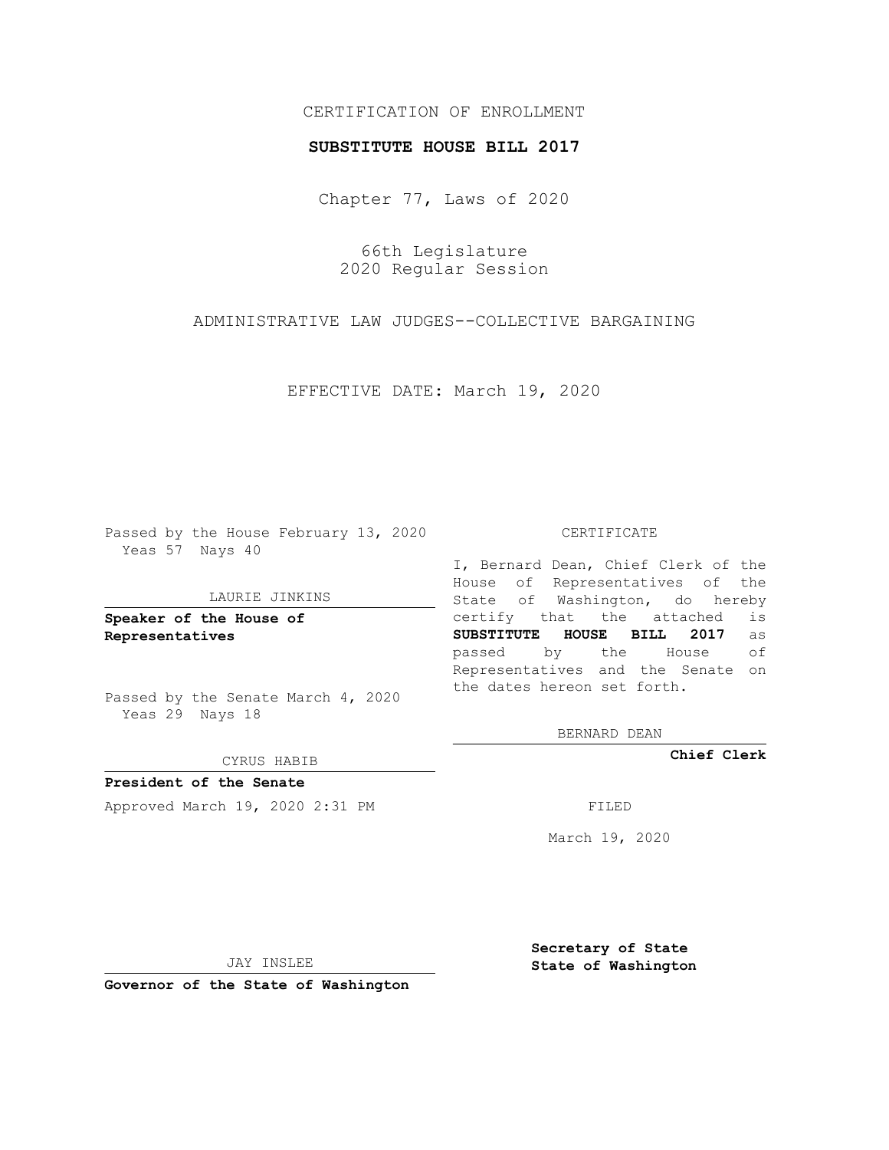# CERTIFICATION OF ENROLLMENT

### **SUBSTITUTE HOUSE BILL 2017**

Chapter 77, Laws of 2020

66th Legislature 2020 Regular Session

ADMINISTRATIVE LAW JUDGES--COLLECTIVE BARGAINING

EFFECTIVE DATE: March 19, 2020

Passed by the House February 13, 2020 Yeas 57 Nays 40

#### LAURIE JINKINS

**Speaker of the House of Representatives**

Passed by the Senate March 4, 2020 Yeas 29 Nays 18

#### CYRUS HABIB

**President of the Senate** Approved March 19, 2020 2:31 PM

#### CERTIFICATE

I, Bernard Dean, Chief Clerk of the House of Representatives of the State of Washington, do hereby certify that the attached is **SUBSTITUTE HOUSE BILL 2017** as passed by the House of Representatives and the Senate on the dates hereon set forth.

BERNARD DEAN

**Chief Clerk**

March 19, 2020

JAY INSLEE

**Governor of the State of Washington**

**Secretary of State State of Washington**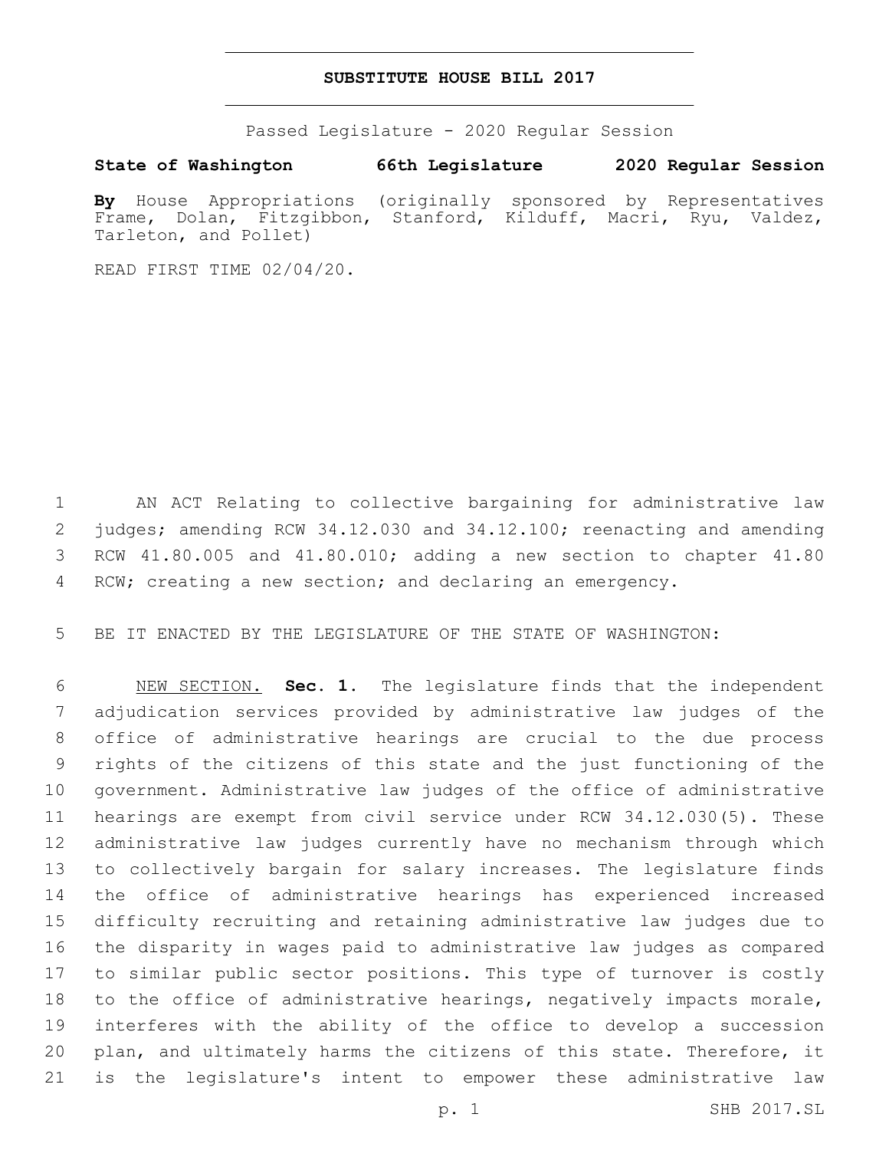## **SUBSTITUTE HOUSE BILL 2017**

Passed Legislature - 2020 Regular Session

**State of Washington 66th Legislature 2020 Regular Session**

**By** House Appropriations (originally sponsored by Representatives Frame, Dolan, Fitzgibbon, Stanford, Kilduff, Macri, Ryu, Valdez, Tarleton, and Pollet)

READ FIRST TIME 02/04/20.

 AN ACT Relating to collective bargaining for administrative law judges; amending RCW 34.12.030 and 34.12.100; reenacting and amending RCW 41.80.005 and 41.80.010; adding a new section to chapter 41.80 RCW; creating a new section; and declaring an emergency.

BE IT ENACTED BY THE LEGISLATURE OF THE STATE OF WASHINGTON:

 NEW SECTION. **Sec. 1.** The legislature finds that the independent adjudication services provided by administrative law judges of the office of administrative hearings are crucial to the due process rights of the citizens of this state and the just functioning of the government. Administrative law judges of the office of administrative hearings are exempt from civil service under RCW 34.12.030(5). These administrative law judges currently have no mechanism through which to collectively bargain for salary increases. The legislature finds the office of administrative hearings has experienced increased difficulty recruiting and retaining administrative law judges due to the disparity in wages paid to administrative law judges as compared to similar public sector positions. This type of turnover is costly to the office of administrative hearings, negatively impacts morale, interferes with the ability of the office to develop a succession plan, and ultimately harms the citizens of this state. Therefore, it is the legislature's intent to empower these administrative law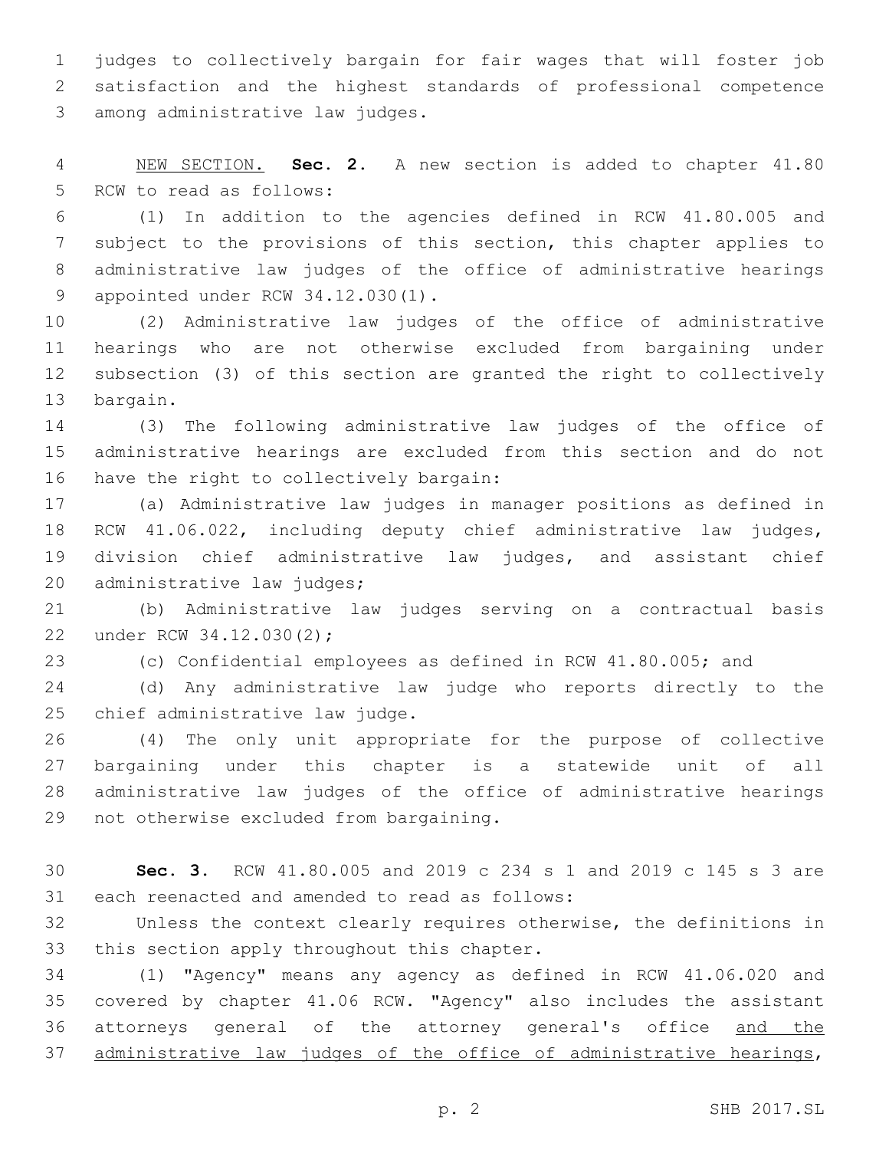judges to collectively bargain for fair wages that will foster job satisfaction and the highest standards of professional competence 3 among administrative law judges.

 NEW SECTION. **Sec. 2.** A new section is added to chapter 41.80 5 RCW to read as follows:

 (1) In addition to the agencies defined in RCW 41.80.005 and subject to the provisions of this section, this chapter applies to administrative law judges of the office of administrative hearings 9 appointed under RCW 34.12.030(1).

 (2) Administrative law judges of the office of administrative hearings who are not otherwise excluded from bargaining under subsection (3) of this section are granted the right to collectively 13 bargain.

 (3) The following administrative law judges of the office of administrative hearings are excluded from this section and do not 16 have the right to collectively bargain:

 (a) Administrative law judges in manager positions as defined in RCW 41.06.022, including deputy chief administrative law judges, division chief administrative law judges, and assistant chief 20 administrative law judges;

 (b) Administrative law judges serving on a contractual basis 22 under RCW 34.12.030(2);

(c) Confidential employees as defined in RCW 41.80.005; and

 (d) Any administrative law judge who reports directly to the 25 chief administrative law judge.

 (4) The only unit appropriate for the purpose of collective bargaining under this chapter is a statewide unit of all administrative law judges of the office of administrative hearings 29 not otherwise excluded from bargaining.

 **Sec. 3.** RCW 41.80.005 and 2019 c 234 s 1 and 2019 c 145 s 3 are 31 each reenacted and amended to read as follows:

 Unless the context clearly requires otherwise, the definitions in 33 this section apply throughout this chapter.

 (1) "Agency" means any agency as defined in RCW 41.06.020 and covered by chapter 41.06 RCW. "Agency" also includes the assistant 36 attorneys general of the attorney general's office and the 37 administrative law judges of the office of administrative hearings,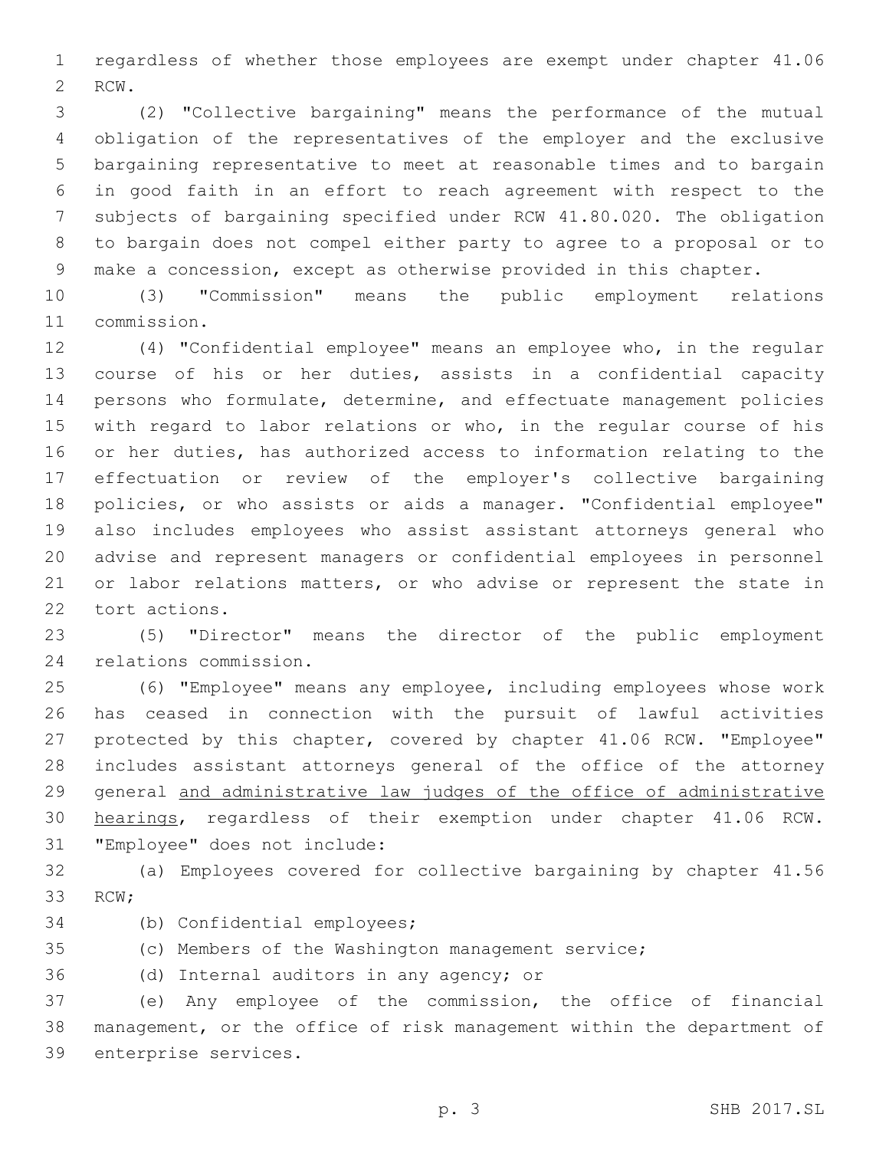regardless of whether those employees are exempt under chapter 41.06 2 RCW.

 (2) "Collective bargaining" means the performance of the mutual obligation of the representatives of the employer and the exclusive bargaining representative to meet at reasonable times and to bargain in good faith in an effort to reach agreement with respect to the subjects of bargaining specified under RCW 41.80.020. The obligation to bargain does not compel either party to agree to a proposal or to make a concession, except as otherwise provided in this chapter.

 (3) "Commission" means the public employment relations 11 commission.

 (4) "Confidential employee" means an employee who, in the regular course of his or her duties, assists in a confidential capacity persons who formulate, determine, and effectuate management policies with regard to labor relations or who, in the regular course of his or her duties, has authorized access to information relating to the effectuation or review of the employer's collective bargaining policies, or who assists or aids a manager. "Confidential employee" also includes employees who assist assistant attorneys general who advise and represent managers or confidential employees in personnel 21 or labor relations matters, or who advise or represent the state in 22 tort actions.

 (5) "Director" means the director of the public employment 24 relations commission.

 (6) "Employee" means any employee, including employees whose work has ceased in connection with the pursuit of lawful activities protected by this chapter, covered by chapter 41.06 RCW. "Employee" includes assistant attorneys general of the office of the attorney general and administrative law judges of the office of administrative hearings, regardless of their exemption under chapter 41.06 RCW. 31 "Employee" does not include:

 (a) Employees covered for collective bargaining by chapter 41.56 33 RCW;

- 34 (b) Confidential employees;
- (c) Members of the Washington management service;

36 (d) Internal auditors in any agency; or

 (e) Any employee of the commission, the office of financial management, or the office of risk management within the department of 39 enterprise services.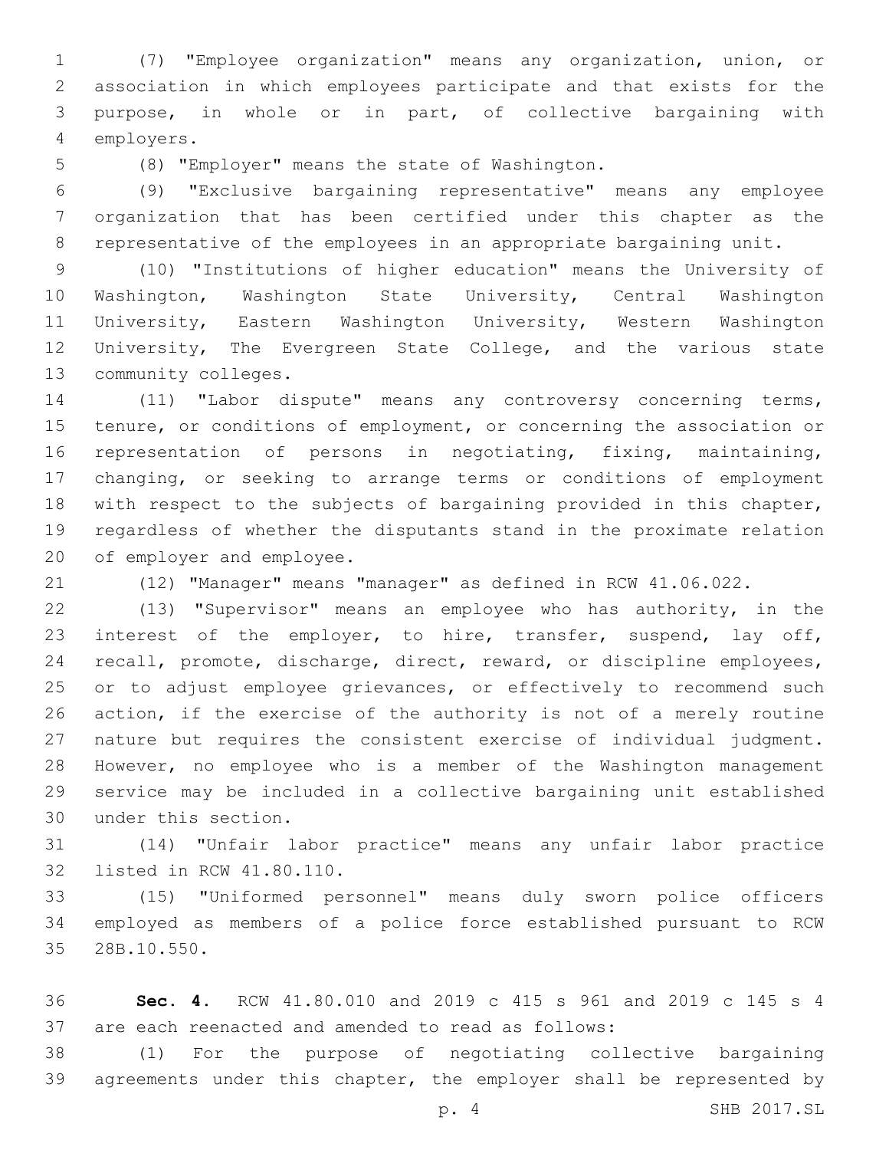(7) "Employee organization" means any organization, union, or association in which employees participate and that exists for the purpose, in whole or in part, of collective bargaining with employers.4

5 (8) "Employer" means the state of Washington.

 (9) "Exclusive bargaining representative" means any employee organization that has been certified under this chapter as the representative of the employees in an appropriate bargaining unit.

 (10) "Institutions of higher education" means the University of Washington, Washington State University, Central Washington University, Eastern Washington University, Western Washington University, The Evergreen State College, and the various state 13 community colleges.

 (11) "Labor dispute" means any controversy concerning terms, 15 tenure, or conditions of employment, or concerning the association or representation of persons in negotiating, fixing, maintaining, changing, or seeking to arrange terms or conditions of employment with respect to the subjects of bargaining provided in this chapter, regardless of whether the disputants stand in the proximate relation 20 of employer and employee.

(12) "Manager" means "manager" as defined in RCW 41.06.022.

 (13) "Supervisor" means an employee who has authority, in the interest of the employer, to hire, transfer, suspend, lay off, recall, promote, discharge, direct, reward, or discipline employees, 25 or to adjust employee grievances, or effectively to recommend such action, if the exercise of the authority is not of a merely routine nature but requires the consistent exercise of individual judgment. However, no employee who is a member of the Washington management service may be included in a collective bargaining unit established 30 under this section.

 (14) "Unfair labor practice" means any unfair labor practice 32 listed in RCW 41.80.110.

 (15) "Uniformed personnel" means duly sworn police officers employed as members of a police force established pursuant to RCW 28B.10.550.35

 **Sec. 4.** RCW 41.80.010 and 2019 c 415 s 961 and 2019 c 145 s 4 are each reenacted and amended to read as follows:

 (1) For the purpose of negotiating collective bargaining 39 agreements under this chapter, the employer shall be represented by

p. 4 SHB 2017.SL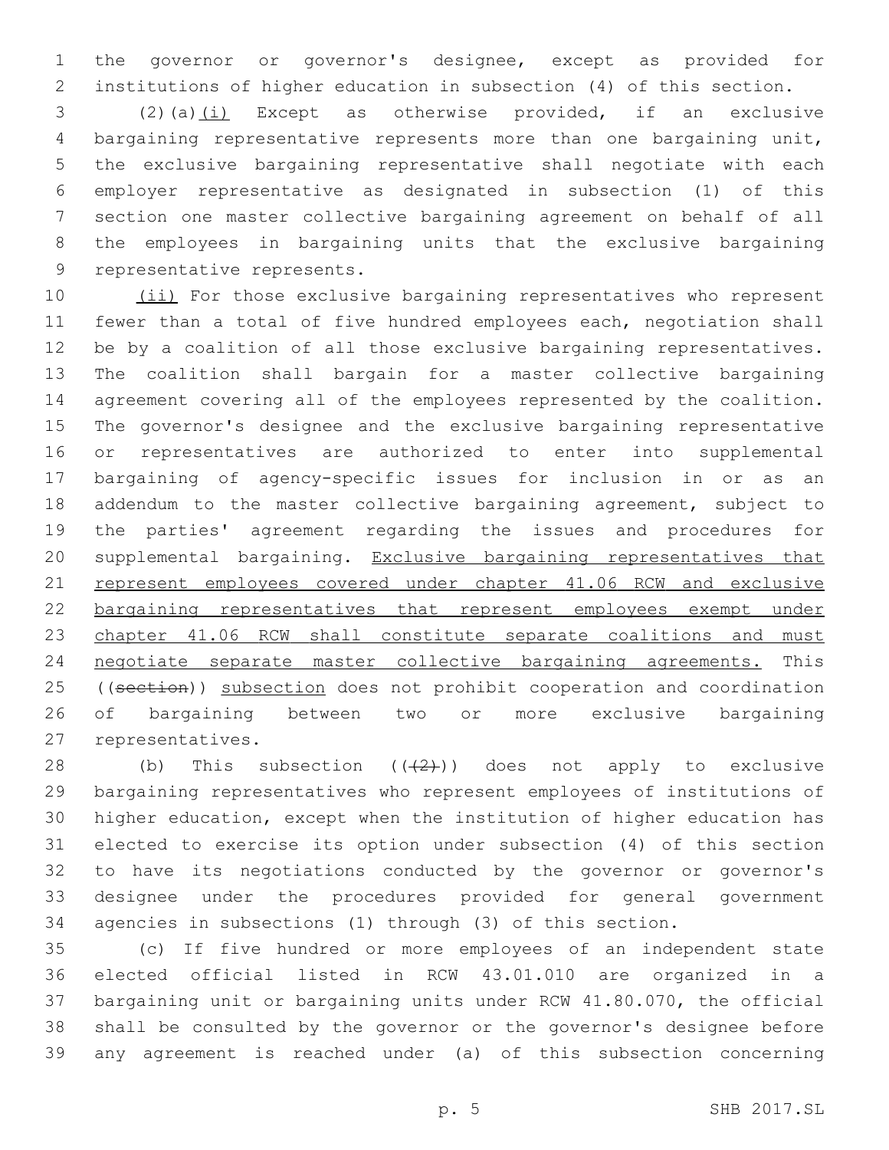the governor or governor's designee, except as provided for institutions of higher education in subsection (4) of this section.

3 (2)(a)(i) Except as otherwise provided, if an exclusive bargaining representative represents more than one bargaining unit, the exclusive bargaining representative shall negotiate with each employer representative as designated in subsection (1) of this section one master collective bargaining agreement on behalf of all the employees in bargaining units that the exclusive bargaining 9 representative represents.

10 (ii) For those exclusive bargaining representatives who represent fewer than a total of five hundred employees each, negotiation shall be by a coalition of all those exclusive bargaining representatives. The coalition shall bargain for a master collective bargaining agreement covering all of the employees represented by the coalition. The governor's designee and the exclusive bargaining representative or representatives are authorized to enter into supplemental bargaining of agency-specific issues for inclusion in or as an 18 addendum to the master collective bargaining agreement, subject to the parties' agreement regarding the issues and procedures for supplemental bargaining. Exclusive bargaining representatives that 21 represent employees covered under chapter 41.06 RCW and exclusive bargaining representatives that represent employees exempt under 23 chapter 41.06 RCW shall constitute separate coalitions and must negotiate separate master collective bargaining agreements. This 25 ((section)) subsection does not prohibit cooperation and coordination of bargaining between two or more exclusive bargaining 27 representatives.

28 (b) This subsection  $((2+))$  does not apply to exclusive bargaining representatives who represent employees of institutions of higher education, except when the institution of higher education has elected to exercise its option under subsection (4) of this section to have its negotiations conducted by the governor or governor's designee under the procedures provided for general government agencies in subsections (1) through (3) of this section.

 (c) If five hundred or more employees of an independent state elected official listed in RCW 43.01.010 are organized in a bargaining unit or bargaining units under RCW 41.80.070, the official shall be consulted by the governor or the governor's designee before any agreement is reached under (a) of this subsection concerning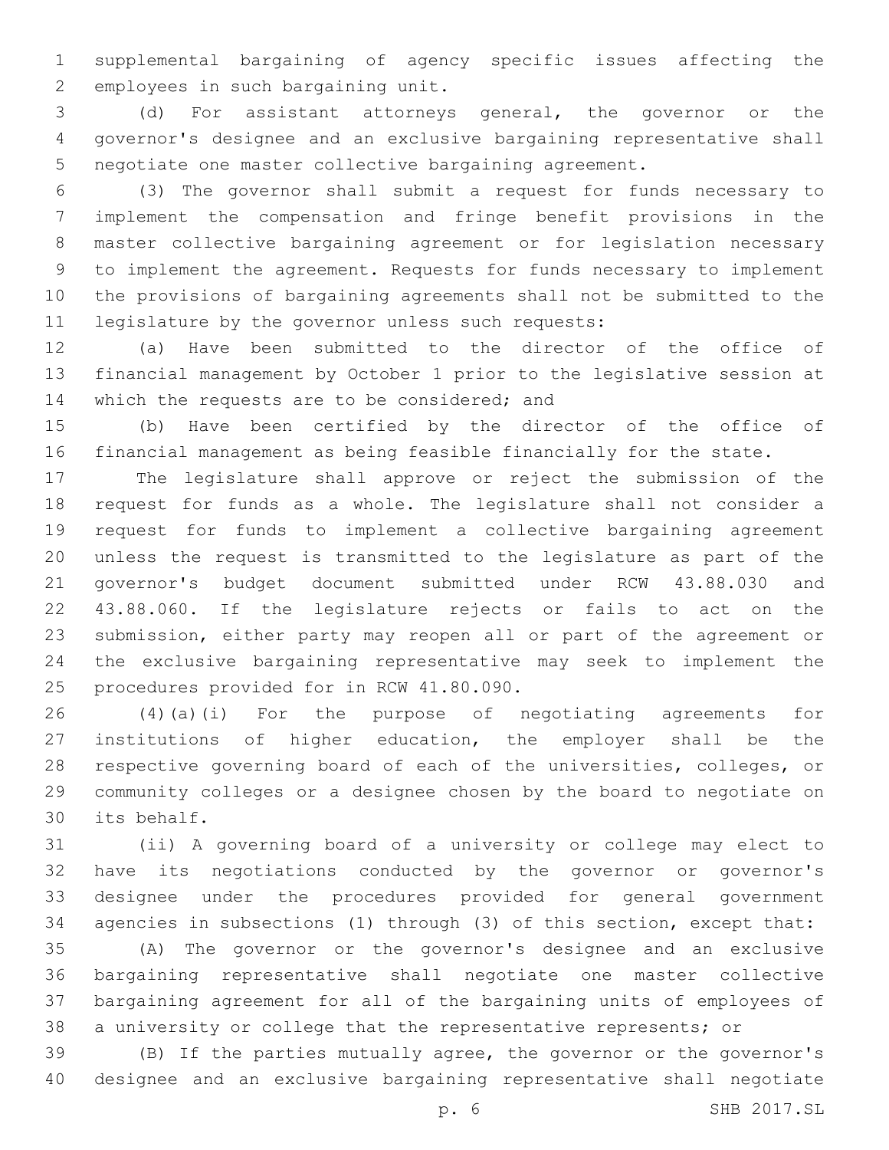supplemental bargaining of agency specific issues affecting the 2 employees in such bargaining unit.

 (d) For assistant attorneys general, the governor or the governor's designee and an exclusive bargaining representative shall negotiate one master collective bargaining agreement.

 (3) The governor shall submit a request for funds necessary to implement the compensation and fringe benefit provisions in the master collective bargaining agreement or for legislation necessary to implement the agreement. Requests for funds necessary to implement the provisions of bargaining agreements shall not be submitted to the 11 legislature by the governor unless such requests:

 (a) Have been submitted to the director of the office of financial management by October 1 prior to the legislative session at 14 which the requests are to be considered; and

 (b) Have been certified by the director of the office of financial management as being feasible financially for the state.

 The legislature shall approve or reject the submission of the request for funds as a whole. The legislature shall not consider a request for funds to implement a collective bargaining agreement unless the request is transmitted to the legislature as part of the governor's budget document submitted under RCW 43.88.030 and 43.88.060. If the legislature rejects or fails to act on the submission, either party may reopen all or part of the agreement or the exclusive bargaining representative may seek to implement the 25 procedures provided for in RCW 41.80.090.

 (4)(a)(i) For the purpose of negotiating agreements for institutions of higher education, the employer shall be the respective governing board of each of the universities, colleges, or community colleges or a designee chosen by the board to negotiate on 30 its behalf.

 (ii) A governing board of a university or college may elect to have its negotiations conducted by the governor or governor's designee under the procedures provided for general government agencies in subsections (1) through (3) of this section, except that:

 (A) The governor or the governor's designee and an exclusive bargaining representative shall negotiate one master collective bargaining agreement for all of the bargaining units of employees of a university or college that the representative represents; or

 (B) If the parties mutually agree, the governor or the governor's designee and an exclusive bargaining representative shall negotiate

p. 6 SHB 2017.SL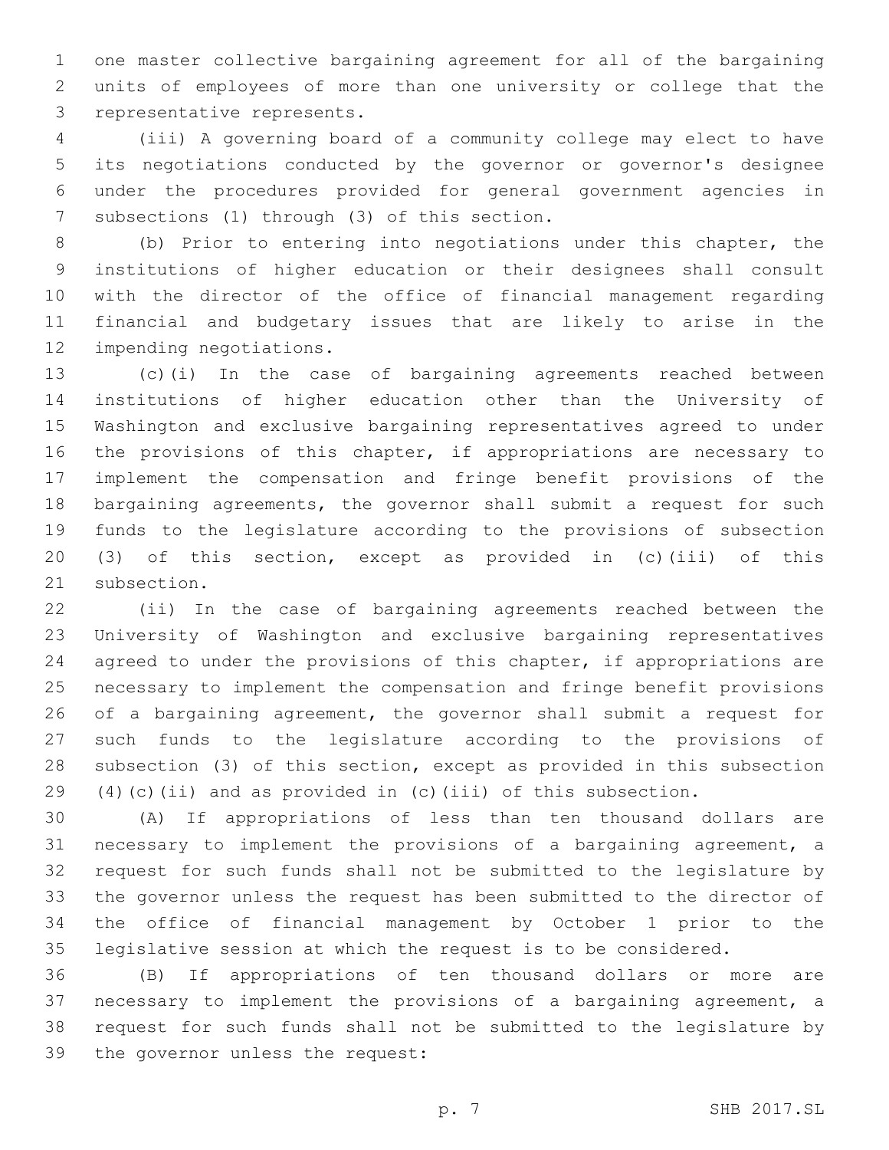one master collective bargaining agreement for all of the bargaining units of employees of more than one university or college that the 3 representative represents.

 (iii) A governing board of a community college may elect to have its negotiations conducted by the governor or governor's designee under the procedures provided for general government agencies in 7 subsections (1) through (3) of this section.

 (b) Prior to entering into negotiations under this chapter, the institutions of higher education or their designees shall consult with the director of the office of financial management regarding financial and budgetary issues that are likely to arise in the 12 impending negotiations.

 (c)(i) In the case of bargaining agreements reached between institutions of higher education other than the University of Washington and exclusive bargaining representatives agreed to under 16 the provisions of this chapter, if appropriations are necessary to implement the compensation and fringe benefit provisions of the bargaining agreements, the governor shall submit a request for such funds to the legislature according to the provisions of subsection (3) of this section, except as provided in (c)(iii) of this 21 subsection.

 (ii) In the case of bargaining agreements reached between the University of Washington and exclusive bargaining representatives 24 agreed to under the provisions of this chapter, if appropriations are necessary to implement the compensation and fringe benefit provisions 26 of a bargaining agreement, the governor shall submit a request for such funds to the legislature according to the provisions of subsection (3) of this section, except as provided in this subsection (4)(c)(ii) and as provided in (c)(iii) of this subsection.

 (A) If appropriations of less than ten thousand dollars are necessary to implement the provisions of a bargaining agreement, a request for such funds shall not be submitted to the legislature by the governor unless the request has been submitted to the director of the office of financial management by October 1 prior to the legislative session at which the request is to be considered.

 (B) If appropriations of ten thousand dollars or more are necessary to implement the provisions of a bargaining agreement, a request for such funds shall not be submitted to the legislature by 39 the governor unless the request: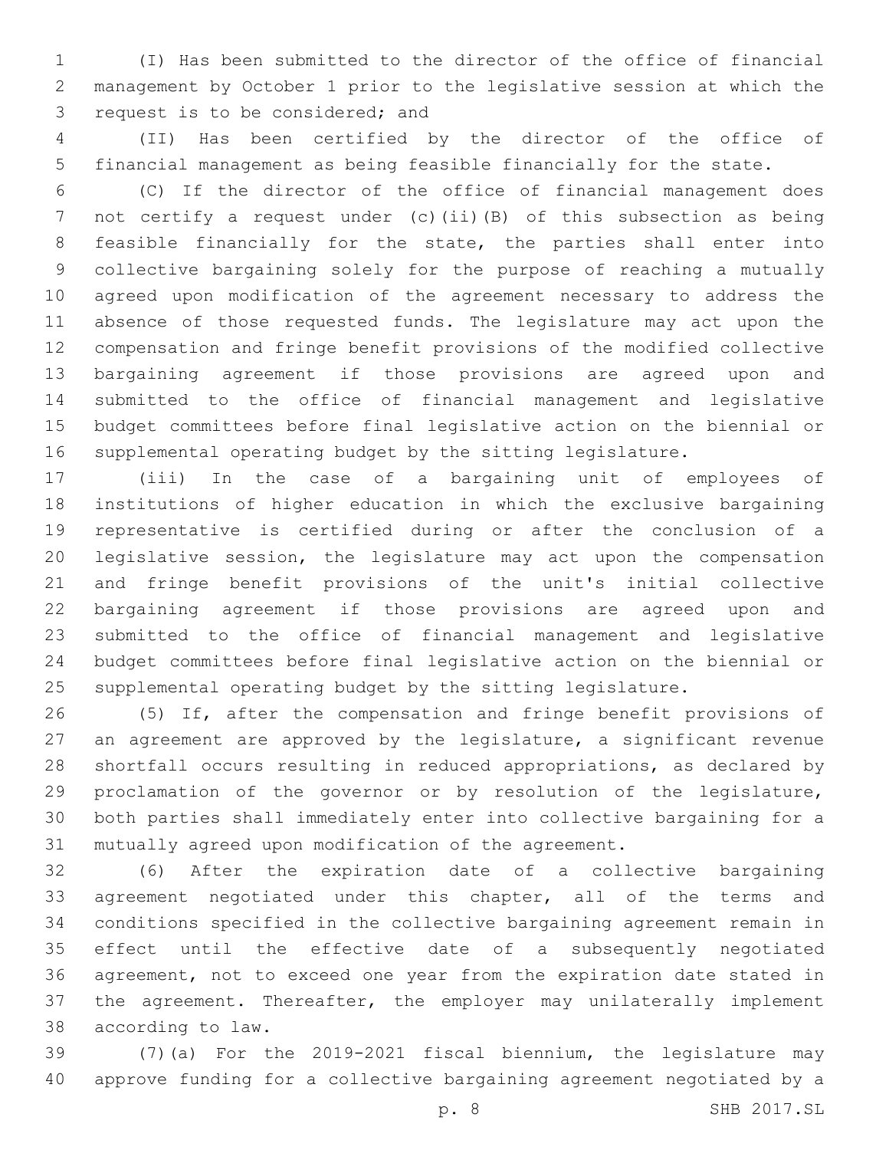(I) Has been submitted to the director of the office of financial management by October 1 prior to the legislative session at which the 3 request is to be considered; and

 (II) Has been certified by the director of the office of financial management as being feasible financially for the state.

 (C) If the director of the office of financial management does 7 not certify a request under (c)(ii)(B) of this subsection as being feasible financially for the state, the parties shall enter into collective bargaining solely for the purpose of reaching a mutually agreed upon modification of the agreement necessary to address the absence of those requested funds. The legislature may act upon the compensation and fringe benefit provisions of the modified collective bargaining agreement if those provisions are agreed upon and submitted to the office of financial management and legislative budget committees before final legislative action on the biennial or supplemental operating budget by the sitting legislature.

 (iii) In the case of a bargaining unit of employees of institutions of higher education in which the exclusive bargaining representative is certified during or after the conclusion of a legislative session, the legislature may act upon the compensation and fringe benefit provisions of the unit's initial collective bargaining agreement if those provisions are agreed upon and submitted to the office of financial management and legislative budget committees before final legislative action on the biennial or supplemental operating budget by the sitting legislature.

 (5) If, after the compensation and fringe benefit provisions of an agreement are approved by the legislature, a significant revenue shortfall occurs resulting in reduced appropriations, as declared by proclamation of the governor or by resolution of the legislature, both parties shall immediately enter into collective bargaining for a mutually agreed upon modification of the agreement.

 (6) After the expiration date of a collective bargaining agreement negotiated under this chapter, all of the terms and conditions specified in the collective bargaining agreement remain in effect until the effective date of a subsequently negotiated agreement, not to exceed one year from the expiration date stated in the agreement. Thereafter, the employer may unilaterally implement 38 according to law.

 (7)(a) For the 2019-2021 fiscal biennium, the legislature may approve funding for a collective bargaining agreement negotiated by a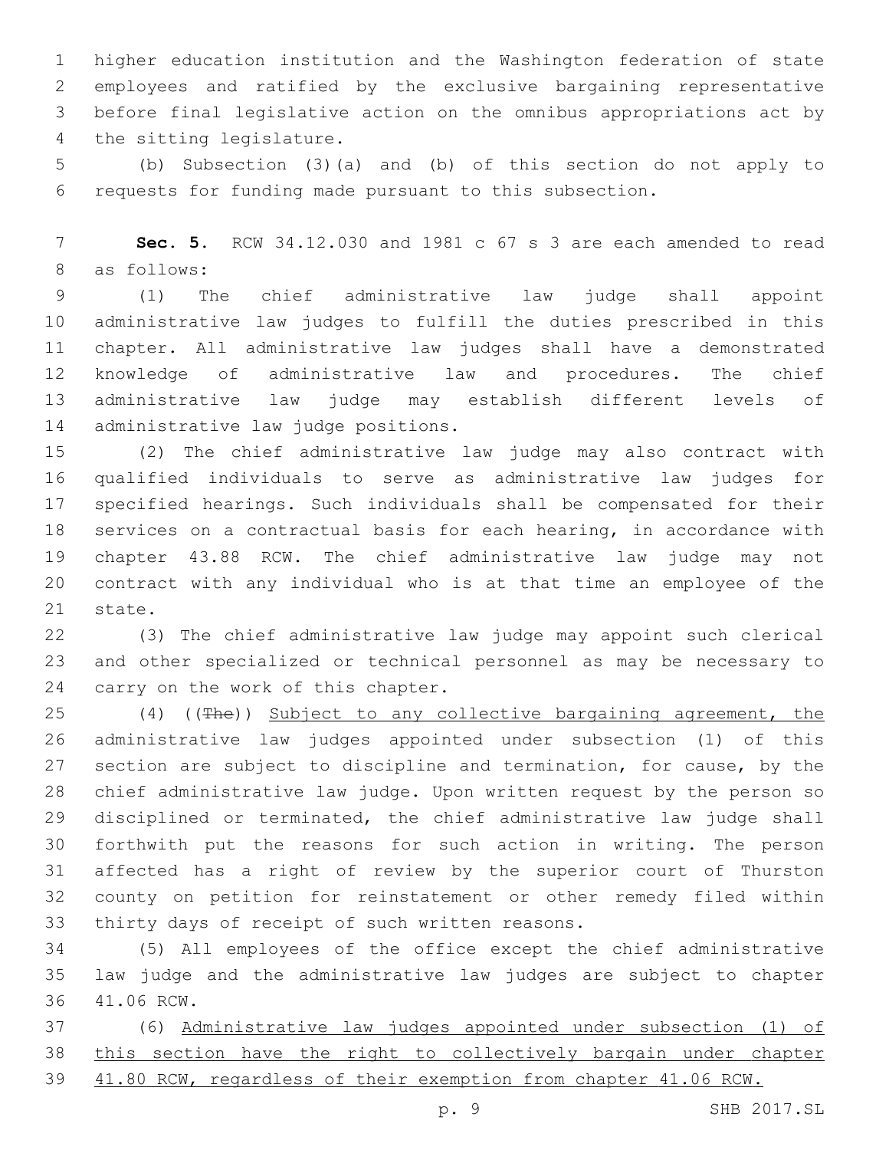higher education institution and the Washington federation of state employees and ratified by the exclusive bargaining representative before final legislative action on the omnibus appropriations act by 4 the sitting legislature.

 (b) Subsection (3)(a) and (b) of this section do not apply to requests for funding made pursuant to this subsection.

 **Sec. 5.** RCW 34.12.030 and 1981 c 67 s 3 are each amended to read 8 as follows:

 (1) The chief administrative law judge shall appoint administrative law judges to fulfill the duties prescribed in this chapter. All administrative law judges shall have a demonstrated knowledge of administrative law and procedures. The chief administrative law judge may establish different levels of 14 administrative law judge positions.

 (2) The chief administrative law judge may also contract with qualified individuals to serve as administrative law judges for specified hearings. Such individuals shall be compensated for their services on a contractual basis for each hearing, in accordance with chapter 43.88 RCW. The chief administrative law judge may not contract with any individual who is at that time an employee of the 21 state.

 (3) The chief administrative law judge may appoint such clerical and other specialized or technical personnel as may be necessary to 24 carry on the work of this chapter.

 (4) ((The)) Subject to any collective bargaining agreement, the administrative law judges appointed under subsection (1) of this 27 section are subject to discipline and termination, for cause, by the chief administrative law judge. Upon written request by the person so disciplined or terminated, the chief administrative law judge shall forthwith put the reasons for such action in writing. The person affected has a right of review by the superior court of Thurston county on petition for reinstatement or other remedy filed within 33 thirty days of receipt of such written reasons.

 (5) All employees of the office except the chief administrative law judge and the administrative law judges are subject to chapter 36 41.06 RCW.

 (6) Administrative law judges appointed under subsection (1) of this section have the right to collectively bargain under chapter 41.80 RCW, regardless of their exemption from chapter 41.06 RCW.